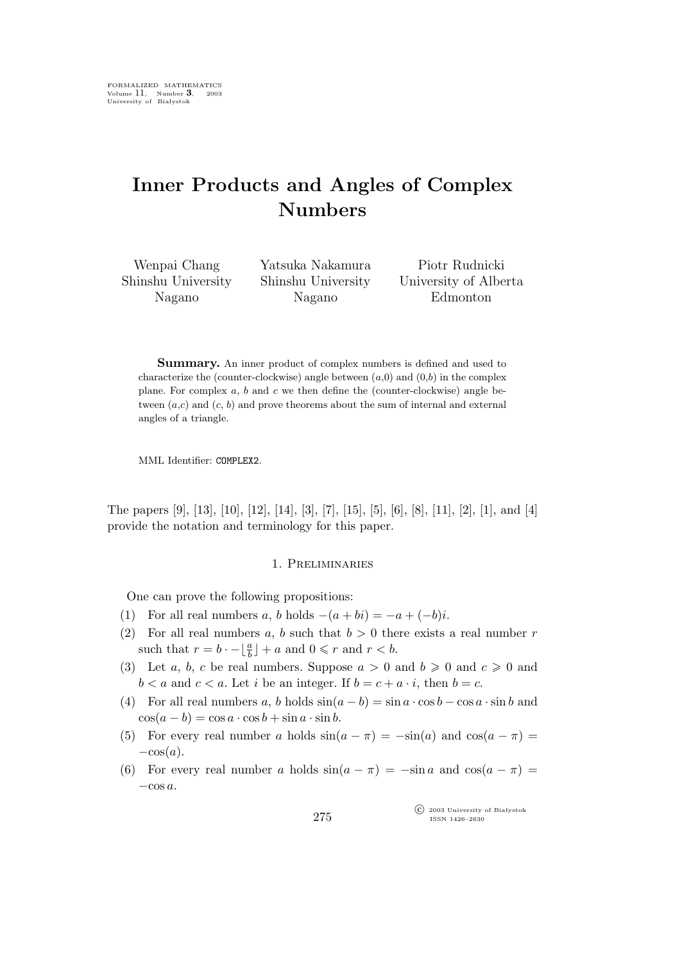# **Inner Products and Angles of Complex Numbers**

Wenpai Chang Shinshu University Nagano

Yatsuka Nakamura Shinshu University Nagano

Piotr Rudnicki University of Alberta Edmonton

**Summary.** An inner product of complex numbers is defined and used to characterize the (counter-clockwise) angle between  $(a,0)$  and  $(0,b)$  in the complex plane. For complex  $a, b$  and  $c$  we then define the (counter-clockwise) angle between  $(a, c)$  and  $(c, b)$  and prove theorems about the sum of internal and external angles of a triangle.

MML Identifier: COMPLEX2.

The papers [9], [13], [10], [12], [14], [3], [7], [15], [5], [6], [8], [11], [2], [1], and [4] provide the notation and terminology for this paper.

### 1. Preliminaries

One can prove the following propositions:

- (1) For all real numbers a, b holds  $-(a + bi) = -a + (-b)i$ .
- (2) For all real numbers a, b such that  $b > 0$  there exists a real number r such that  $r = b \cdot - \lfloor \frac{a}{b} \rfloor + a$  and  $0 \leq r$  and  $r < b$ .
- (3) Let a, b, c be real numbers. Suppose  $a > 0$  and  $b \ge 0$  and  $c \ge 0$  and  $b < a$  and  $c < a$ . Let *i* be an integer. If  $b = c + a \cdot i$ , then  $b = c$ .
- (4) For all real numbers a, b holds  $sin(a b) = sin a \cdot cos b cos a \cdot sin b$  and  $\cos(a - b) = \cos a \cdot \cos b + \sin a \cdot \sin b$ .
- (5) For every real number a holds  $sin(a \pi) = -sin(a)$  and  $cos(a \pi) =$ *−*cos(a).
- (6) For every real number a holds  $sin(a \pi) = -sin a$  and  $cos(a \pi) =$ *−*cos a.

°c 2003 University of Białystok ISSN 1426–2630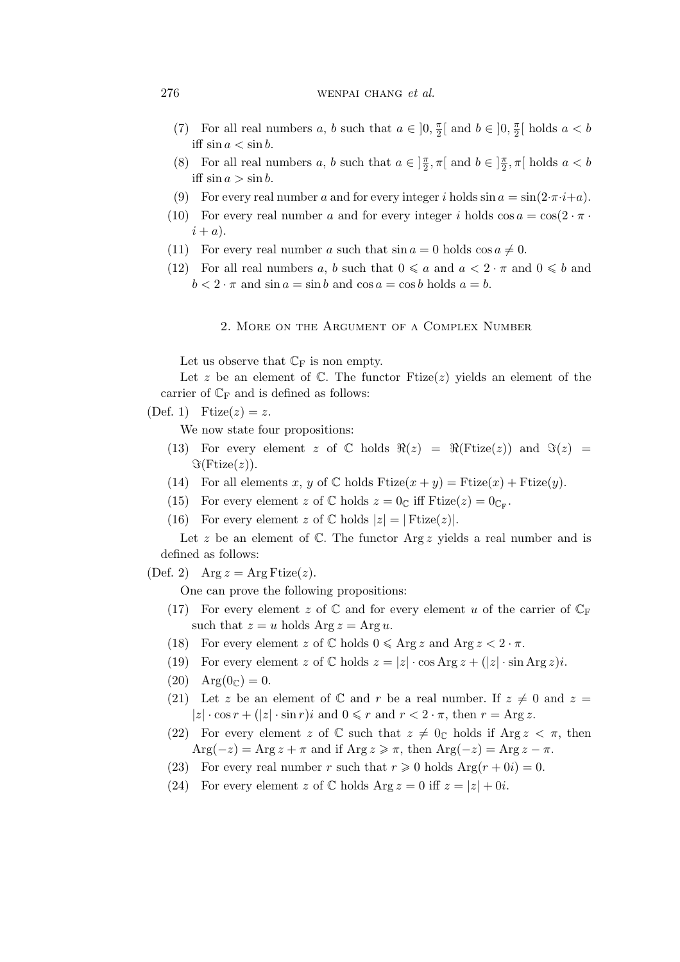## 276 wenpai chang *et al.*

- (7) For all real numbers a, b such that  $a \in ]0, \frac{\pi}{2}$  $\frac{\pi}{2}$ [ and  $b \in ]0, \frac{\pi}{2}$  $\frac{\pi}{2}$ [ holds  $a < b$ iff  $\sin a < \sin b$ .
- (8) For all real numbers a, b such that  $a \in ]\frac{\pi}{2}$  $\frac{\pi}{2}, \pi$ [ and  $b \in ]\frac{\pi}{2}$  $\frac{\pi}{2}, \pi$ [ holds  $a < b$ iff  $\sin a > \sin b$ .
- (9) For every real number a and for every integer i holds  $\sin a = \sin(2\pi \cdot i + a)$ .
- (10) For every real number a and for every integer i holds  $\cos a = \cos(2 \cdot \pi \cdot$  $i + a$ ).
- (11) For every real number a such that  $\sin a = 0$  holds  $\cos a \neq 0$ .
- (12) For all real numbers a, b such that  $0 \leq a$  and  $a < 2 \cdot \pi$  and  $0 \leq b$  and  $b < 2 \cdot \pi$  and  $\sin a = \sin b$  and  $\cos a = \cos b$  holds  $a = b$ .

2. More on the Argument of a Complex Number

Let us observe that  $\mathbb{C}_{\mathrm{F}}$  is non empty.

Let z be an element of  $\mathbb{C}$ . The functor Ftize(z) yields an element of the carrier of  $\mathbb{C}_{\mathbb{F}}$  and is defined as follows:

(Def. 1) Frize $(z) = z$ .

We now state four propositions:

- (13) For every element z of  $\mathbb C$  holds  $\Re(z) = \Re(\text{Ftize}(z))$  and  $\Im(z) =$  $\Im$ (Ftize(*z*)).
- (14) For all elements x, y of  $\mathbb C$  holds  $F \text{tize}(x + y) = F \text{tize}(x) + F \text{tize}(y)$ .
- (15) For every element z of  $\mathbb C$  holds  $z = 0_{\mathbb C}$  iff Ftize( $z$ ) =  $0_{\mathbb C_{\mathbb F}}$ .
- (16) For every element z of  $\mathbb{C}$  holds  $|z| = | \text{Ftize}(z)|$ .

Let z be an element of  $\mathbb C$ . The functor Arg z yields a real number and is defined as follows:

(Def. 2) Arg  $z = \text{Arg} \text{Ftize}(z)$ .

One can prove the following propositions:

- (17) For every element z of  $\mathbb C$  and for every element u of the carrier of  $\mathbb C_F$ such that  $z = u$  holds  $\text{Arg } z = \text{Arg } u$ .
- (18) For every element z of  $\mathbb C$  holds  $0 \leq \text{Arg } z$  and  $\text{Arg } z < 2 \cdot \pi$ .
- (19) For every element z of  $\mathbb C$  holds  $z = |z| \cdot \cos \mathrm{Arg} z + (|z| \cdot \sin \mathrm{Arg} z)i$ .
- (20)  $Arg(0_{\mathbb{C}}) = 0.$
- (21) Let z be an element of  $\mathbb C$  and r be a real number. If  $z \neq 0$  and  $z =$  $|z| \cdot \cos r + (|z| \cdot \sin r)i$  and  $0 \leq r$  and  $r < 2 \cdot \pi$ , then  $r = \text{Arg } z$ .
- (22) For every element z of C such that  $z \neq 0<sub>c</sub>$  holds if Arg  $z < \pi$ , then  $Arg(-z) = Arg z + \pi$  and if  $Arg z \geqslant \pi$ , then  $Arg(-z) = Arg z - \pi$ .
- (23) For every real number r such that  $r \ge 0$  holds  $Arg(r + 0i) = 0$ .
- (24) For every element z of  $\mathbb C$  holds  $\text{Arg } z = 0$  iff  $z = |z| + 0i$ .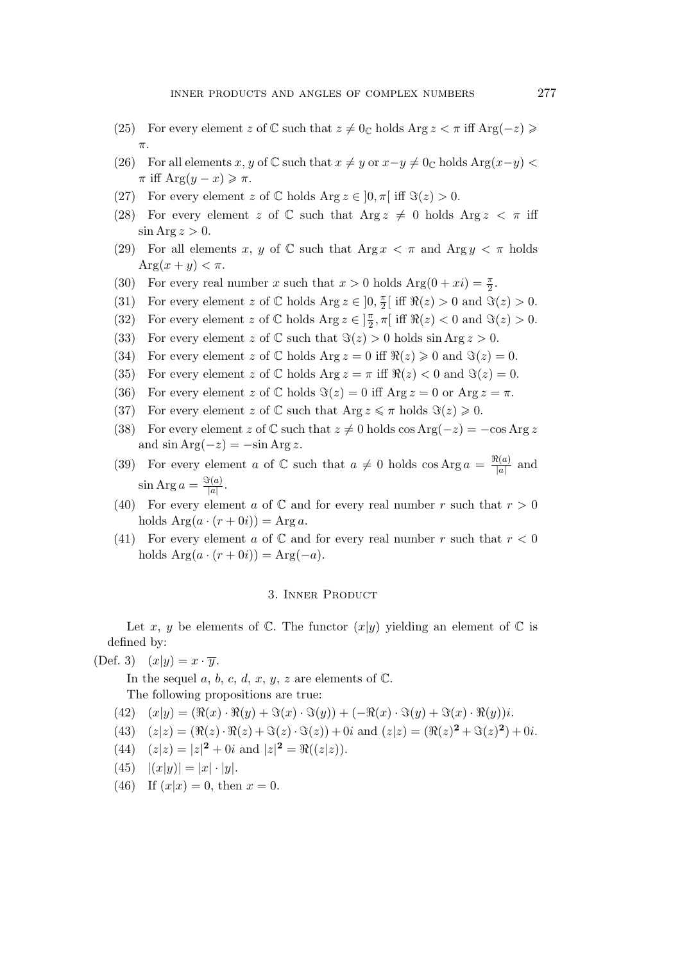- (25) For every element z of  $\mathbb C$  such that  $z \neq 0_{\mathbb C}$  holds Arg  $z < \pi$  iff Arg( $-z$ )  $\geq$ π.
- (26) For all elements x, y of  $\mathbb C$  such that  $x \neq y$  or  $x-y \neq 0$  holds Arg $(x-y)$  $\pi$  iff Arg $(y - x) \geq \pi$ .
- (27) For every element z of  $\mathbb C$  holds  $\text{Arg } z \in [0, \pi]$  iff  $\Im(z) > 0$ .
- (28) For every element z of C such that Arg  $z \neq 0$  holds Arg  $z < \pi$  iff  $\sin \text{Arg } z > 0.$
- (29) For all elements x, y of  $\mathbb C$  such that Arg  $x < \pi$  and Arg  $y < \pi$  holds  $\text{Arg}(x+y) < \pi$ .
- (30) For every real number x such that  $x > 0$  holds  $Arg(0 + xi) = \frac{\pi}{2}$ .
- (31) For every element z of  $\mathbb C$  holds Arg  $z \in ]0, \frac{\pi}{2}$  $\frac{\pi}{2}$ [ iff  $\Re(z) > 0$  and  $\Im(z) > 0$ .
- (32) For every element z of  $\mathbb C$  holds Arg  $z \in ]\frac{\pi}{2}$  $\frac{\pi}{2}, \pi$  [iff  $\Re(z) < 0$  and  $\Im(z) > 0$ .
- (33) For every element z of  $\mathbb C$  such that  $\Im(z) > 0$  holds  $\sin \text{Arg } z > 0$ .
- (34) For every element z of  $\mathbb C$  holds  $\text{Arg } z = 0$  iff  $\Re(z) \geq 0$  and  $\Im(z) = 0$ .
- (35) For every element z of  $\mathbb C$  holds  $\text{Arg } z = \pi$  iff  $\Re(z) < 0$  and  $\Im(z) = 0$ .
- (36) For every element z of  $\mathbb C$  holds  $\Im(z) = 0$  iff  $\text{Arg } z = 0$  or  $\text{Arg } z = \pi$ .
- (37) For every element z of  $\mathbb C$  such that  $\text{Arg } z \leq \pi$  holds  $\Im(z) \geq 0$ .
- (38) For every element z of  $\mathbb C$  such that  $z \neq 0$  holds cos Arg( $-z$ ) =  $-\cos \text{Arg } z$ and  $\sin \text{Arg}(-z) = -\sin \text{Arg} z$ .
- (39) For every element a of  $\mathbb C$  such that  $a \neq 0$  holds  $\cos \mathrm{Arg} \, a = \frac{\Re(a)}{|a|}$  $\frac{f(a)}{|a|}$  and  $\sin \text{Arg } a = \frac{\Im(a)}{|a|}$  $\frac{s(a)}{|a|}$ .
- (40) For every element a of  $\mathbb C$  and for every real number r such that  $r > 0$ holds  $Arg(a \cdot (r + 0i)) = Arg a$ .
- (41) For every element a of  $\mathbb C$  and for every real number r such that  $r < 0$ holds  $Arg(a \cdot (r + 0i)) = Arg(-a)$ .

## 3. Inner Product

Let x, y be elements of  $\mathbb C$ . The functor  $(x|y)$  yielding an element of  $\mathbb C$  is defined by:

(Def. 3)  $(x|y) = x \cdot \overline{y}$ .

In the sequel a, b, c, d, x, y, z are elements of  $\mathbb{C}$ .

The following propositions are true:

- $(42)$   $(x|y) = (\Re(x) \cdot \Re(y) + \Im(x) \cdot \Im(y)) + (-\Re(x) \cdot \Im(y) + \Im(x) \cdot \Re(y))$ i.
- (43)  $(z|z) = (\Re(z) \cdot \Re(z) + \Im(z) \cdot \Im(z)) + 0i$  and  $(z|z) = (\Re(z)^2 + \Im(z)^2) + 0i$ .
- (44)  $(z|z) = |z|^2 + 0i$  and  $|z|^2 = \Re((z|z)).$
- $(45)$   $|(x|y)| = |x| \cdot |y|$ .
- (46) If  $(x|x) = 0$ , then  $x = 0$ .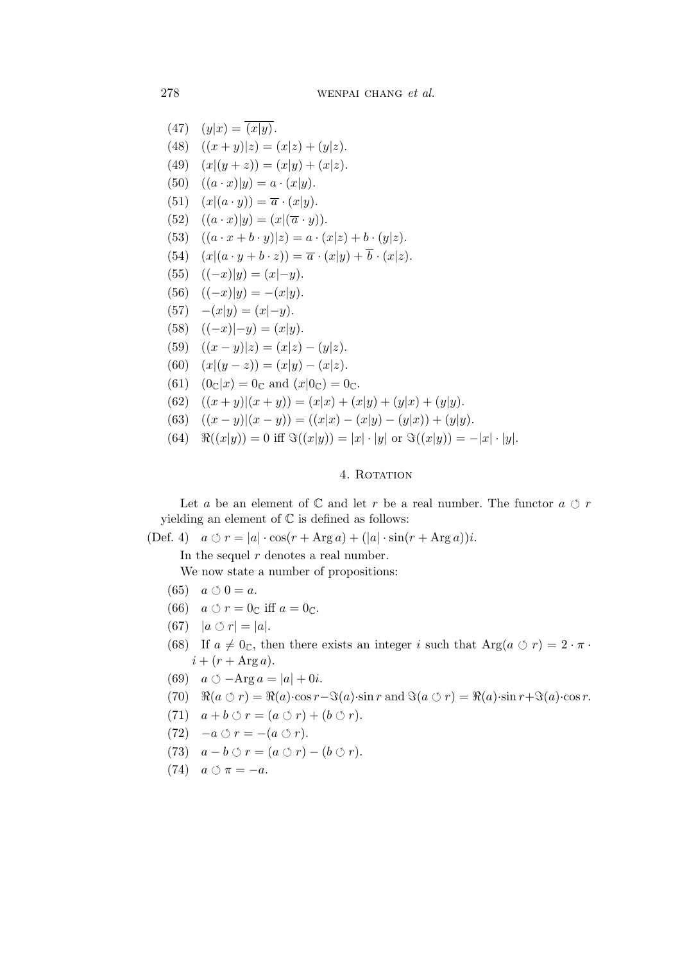278 wenpai chang *et al.*

 $(47)$   $(y|x) = (x|y)$ . (48)  $((x + y)|z) = (x|z) + (y|z).$ (49)  $(x|(y + z)) = (x|y) + (x|z).$ (50)  $((a \cdot x)|y) = a \cdot (x|y)$ . (51)  $(x|(a \cdot y)) = \overline{a} \cdot (x|y).$  $(52)$   $((a \cdot x)|y) = (x|(\overline{a} \cdot y)).$ (53)  $((a \cdot x + b \cdot y)|z) = a \cdot (x|z) + b \cdot (y|z).$  $(54)$   $(x|(a \cdot y + b \cdot z)) = \overline{a} \cdot (x|y) + \overline{b} \cdot (x|z).$ (55)  $((-x)|y) = (x|-y).$ (56)  $((-x)|y) = -(x|y).$ (57) *−*(x*|*y) = (x*|−*y). (58) ((*−*x)*|−*y) = (x*|*y). (59)  $((x - y)|z) = (x|z) - (y|z).$ (60)  $(x|(y-z)) = (x|y) - (x|z).$ (61)  $(0<sub>C</sub>|x) = 0<sub>C</sub>$  and  $(x|0<sub>C</sub>) = 0<sub>C</sub>$ .  $(62)$   $((x + y)|(x + y)) = (x|x) + (x|y) + (y|x) + (y|y).$ (63)  $((x - y)|(x - y)) = ((x|x) - (x|y) - (y|x)) + (y|y).$  $(64)$   $\Re((x|y)) = 0$  iff  $\Im((x|y)) = |x| \cdot |y|$  or  $\Im((x|y)) = -|x| \cdot |y|$ .

# 4. ROTATION

Let  $a$  be an element of  $\mathbb C$  and let  $r$  be a real number. The functor  $a \circ r$ yielding an element of  $\mathbb C$  is defined as follows:

 $(\text{Def. 4})$   $a \circ r = |a| \cdot \cos(r + \text{Arg } a) + (|a| \cdot \sin(r + \text{Arg } a))i.$ 

In the sequel  $r$  denotes a real number.

We now state a number of propositions:

- (65)  $a \circ 0 = a$ .
- (66)  $a \circ r = 0_c$  iff  $a = 0_c$ .
- $(67)$   $|a \circ r| = |a|$ .
- (68) If  $a \neq 0_c$ , then there exists an integer i such that  $Arg(a \circ r) = 2 \cdot \pi$ .  $i + (r + \text{Arg } a).$
- (69)  $a \circlearrowleft \text{Arg } a = |a| + 0i.$
- $(70)$   $\Re(a \circ r) = \Re(a) \cdot \cos r \Im(a) \cdot \sin r$  and  $\Im(a \circ r) = \Re(a) \cdot \sin r + \Im(a) \cdot \cos r$ .
- (71)  $a + b \circ r = (a \circ r) + (b \circ r).$
- $(72)$  −*a*  $\circlearrowleft r = -(a \circlearrowleft r).$
- (73)  $a b \circ r = (a \circ r) (b \circ r).$
- (74)  $a \circ \pi = -a$ .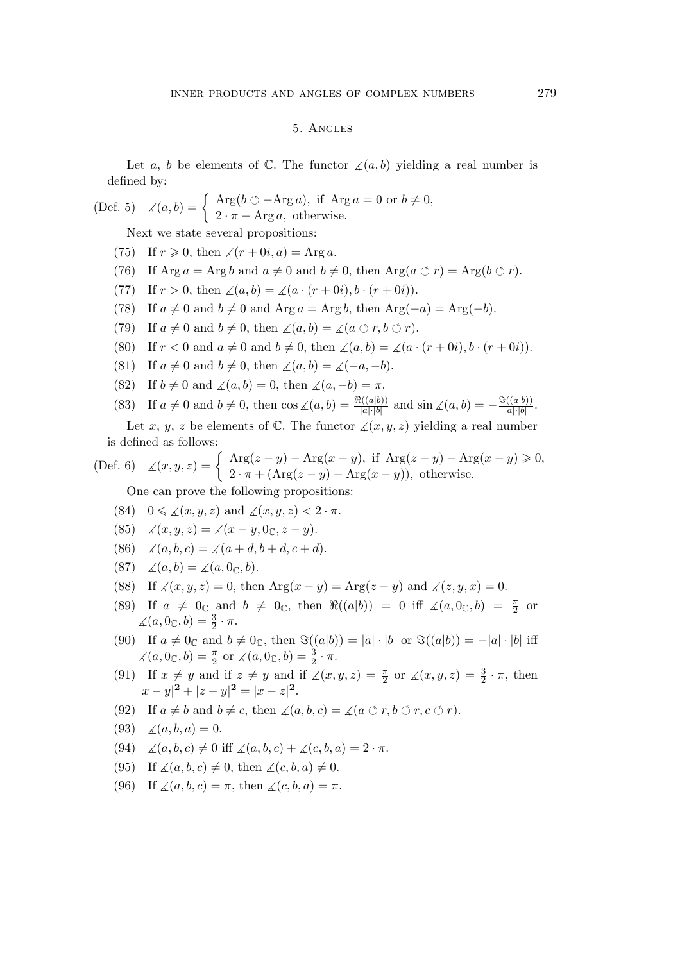# 5. Angles

Let a, b be elements of  $\mathbb C$ . The functor  $\measuredangle(a,b)$  yielding a real number is defined by:

(Def. 5) 
$$
\angle(a, b) = \begin{cases} \text{Arg}(b \circ \text{--} \text{Arg } a), & \text{if } \text{Arg } a = 0 \text{ or } b \neq 0, \\ 2 \cdot \pi - \text{Arg } a, & \text{otherwise.} \end{cases}
$$

Next we state several propositions:

- (75) If  $r \geq 0$ , then  $\angle(r + 0i, a) = \text{Arg } a$ .
- (76) If  $\text{Arg } a = \text{Arg } b$  and  $a \neq 0$  and  $b \neq 0$ , then  $\text{Arg}(a \circ r) = \text{Arg}(b \circ r)$ .
- (77) If  $r > 0$ , then  $\angle(a, b) = \angle(a \cdot (r + 0i), b \cdot (r + 0i)).$
- (78) If  $a \neq 0$  and  $b \neq 0$  and Arg  $a = \text{Arg } b$ , then Arg $(-a) = \text{Arg}(-b)$ .
- (79) If  $a \neq 0$  and  $b \neq 0$ , then  $\angle(a, b) = \angle(a \circ r, b \circ r)$ .
- (80) If  $r < 0$  and  $a \neq 0$  and  $b \neq 0$ , then  $\angle(a, b) = \angle(a \cdot (r + 0i), b \cdot (r + 0i)).$
- (81) If  $a \neq 0$  and  $b \neq 0$ , then  $\angle(a, b) = \angle(-a, -b)$ .
- (82) If  $b \neq 0$  and  $\angle(a, b) = 0$ , then  $\angle(a, -b) = \pi$ .
- (83) If  $a \neq 0$  and  $b \neq 0$ , then  $\cos \angle(a, b) = \frac{\Re((a|b))}{|a|\cdot|b|}$  and  $\sin \angle(a, b) = -\frac{\Im((a|b))}{|a|\cdot|b|}$  $\frac{a|a|b)}{|a|\cdot|b|}$ .

Let x, y, z be elements of  $\mathbb C$ . The functor  $\angle(x,y,z)$  yielding a real number is defined as follows:

(Def. 6) 
$$
\angle(x, y, z) = \begin{cases} \text{Arg}(z - y) - \text{Arg}(x - y), & \text{if } \text{Arg}(z - y) - \text{Arg}(x - y) \ge 0, \\ 2 \cdot \pi + (\text{Arg}(z - y) - \text{Arg}(x - y)), & \text{otherwise.} \end{cases}
$$

One can prove the following propositions:

- (84)  $0 \leq \angle(x, y, z)$  and  $\angle(x, y, z) < 2 \cdot \pi$ .
- (85)  $\angle(x, y, z) = \angle(x y, 0, z y).$
- (86)  $\angle(a, b, c) = \angle(a + d, b + d, c + d).$
- (87)  $\angle(a,b) = \angle(a, 0_{\mathbb{C}},b).$
- (88) If  $\angle(x, y, z) = 0$ , then Arg $(x y) = \text{Arg}(z y)$  and  $\angle(z, y, x) = 0$ .
- (89) If  $a \neq 0_{\mathbb{C}}$  and  $b \neq 0_{\mathbb{C}}$ , then  $\Re((a|b)) = 0$  iff  $\measuredangle(a, 0_{\mathbb{C}}, b) = \frac{\pi}{2}$  or  $\angle(a, 0_{\mathbb{C}}, b) = \frac{3}{2} \cdot \pi.$
- (90) If  $a \neq 0_{\mathbb{C}}$  and  $b \neq 0_{\mathbb{C}}$ , then  $\Im((a|b)) = |a| \cdot |b|$  or  $\Im((a|b)) = -|a| \cdot |b|$  iff  $\angle(a, 0_{\mathbb{C}}, b) = \frac{\pi}{2}$  or  $\angle(a, 0_{\mathbb{C}}, b) = \frac{3}{2} \cdot \pi$ .
- (91) If  $x \neq y$  and if  $z \neq y$  and if  $\angle(x, y, z) = \frac{\pi}{2}$  or  $\angle(x, y, z) = \frac{3}{2} \cdot \pi$ , then  $|x-y|^2 + |z-y|^2 = |x-z|^2$ .
- (92) If  $a \neq b$  and  $b \neq c$ , then  $\angle(a, b, c) = \angle(a \circ r, b \circ r, c \circ r)$ .
- (93)  $\angle(a, b, a) = 0.$
- (94)  $\measuredangle(a, b, c) \neq 0$  iff  $\measuredangle(a, b, c) + \measuredangle(c, b, a) = 2 \cdot \pi$ .
- (95) If  $\angle(a, b, c) \neq 0$ , then  $\angle(c, b, a) \neq 0$ .
- (96) If  $\angle(a, b, c) = \pi$ , then  $\angle(c, b, a) = \pi$ .